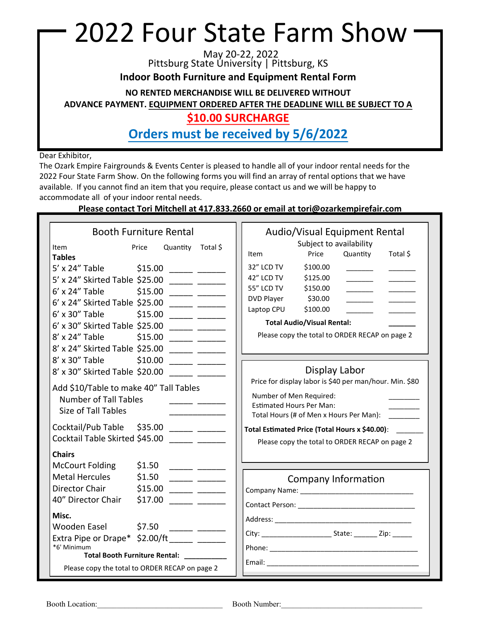## 2022 Four State Farm Show

May 20-22, 2022 Pittsburg State University | Pittsburg, KS

**Indoor Booth Furniture and Equipment Rental Form** 

**NO RENTED MERCHANDISE WILL BE DELIVERED WITHOUT**

**ADVANCE PAYMENT. EQUIPMENT ORDERED AFTER THE DEADLINE WILL BE SUBJECT TO A** 

#### **\$10.00 SURCHARGE**

**Orders must be received by 5/6/2022**

Dear Exhibitor,

The Ozark Empire Fairgrounds & Events Center is pleased to handle all of your indoor rental needs for the 2022 Four State Farm Show. On the following forms you will find an array of rental options that we have available. If you cannot find an item that you require, please contact us and we will be happy to accommodate all of your indoor rental needs.

#### **Please contact Tori Mitchell at 417.833.2660 or email at tori@ozarkempirefair.com**

| <b>Booth Furniture Rental</b>                                                                                                                                                                                                                                                                                                                                                                                                                                                                    | Audio/Visual Equipment Rental                                                                                                                                                                                                                                                                                                                                         |
|--------------------------------------------------------------------------------------------------------------------------------------------------------------------------------------------------------------------------------------------------------------------------------------------------------------------------------------------------------------------------------------------------------------------------------------------------------------------------------------------------|-----------------------------------------------------------------------------------------------------------------------------------------------------------------------------------------------------------------------------------------------------------------------------------------------------------------------------------------------------------------------|
| Quantity Total \$<br><b>Item</b><br>Price<br><b>Tables</b>                                                                                                                                                                                                                                                                                                                                                                                                                                       | Subject to availability<br>Total \$<br>Price<br>Quantity<br>Item                                                                                                                                                                                                                                                                                                      |
| 5' x 24" Table \$15.00 ______ ______<br>5' x 24" Skirted Table \$25.00 \[ \]<br>6' x 24" Table \$15.00 ______ ______<br>6' x 24" Skirted Table \$25.00 \[ \]<br>$6'$ x 30" Table<br>$$15.00$ ____ ____<br>$6'$ x 30" Skirted Table \$25.00<br>8' x 24" Table \$15.00 _____ _____<br>8' x 24" Skirted Table \$25.00<br>8' x 30" Table \$10.00 _____ _____<br>8' x 30" Skirted Table \$20.00<br>Add \$10/Table to make 40" Tall Tables<br><b>Number of Tall Tables</b><br>$\overline{\phantom{a}}$ | 32" LCD TV<br>\$100.00<br>42" LCD TV<br>\$125.00<br>55" LCD TV<br>\$150.00<br><b>DVD Player</b><br>\$30.00<br>Laptop CPU<br>\$100.00<br><b>Total Audio/Visual Rental:</b><br>Please copy the total to ORDER RECAP on page 2<br>Display Labor<br>Price for display labor is \$40 per man/hour. Min. \$80<br>Number of Men Required:<br><b>Estimated Hours Per Man:</b> |
| Size of Tall Tables<br>Cocktail/Pub Table \$35.00 ______ ______<br>Cocktail Table Skirted \$45.00                                                                                                                                                                                                                                                                                                                                                                                                | Total Hours (# of Men x Hours Per Man):<br>Total Estimated Price (Total Hours x \$40.00): _______<br>Please copy the total to ORDER RECAP on page 2                                                                                                                                                                                                                   |
| <b>Chairs</b><br>McCourt Folding<br>\$1.50<br>Metal Hercules \$1.50<br>Director Chair \$15.00<br>$\overline{\phantom{a}}$<br>40" Director Chair                                                                                                                                                                                                                                                                                                                                                  | Company Information                                                                                                                                                                                                                                                                                                                                                   |
| Misc.<br>Wooden Easel \$7.50<br><u> 1980 - Alexandro III, populație de la provincia de la provincia de la provincia de la provincia de la provincia de la provincia de la provincia de la provincia de la provincia de la provincia de la provincia de la provin</u><br>Extra Pipe or Drape* \$2.00/ft ______ _______<br>*6' Minimum<br>Total Booth Furniture Rental: ___________<br>Please copy the total to ORDER RECAP on page 2                                                              |                                                                                                                                                                                                                                                                                                                                                                       |